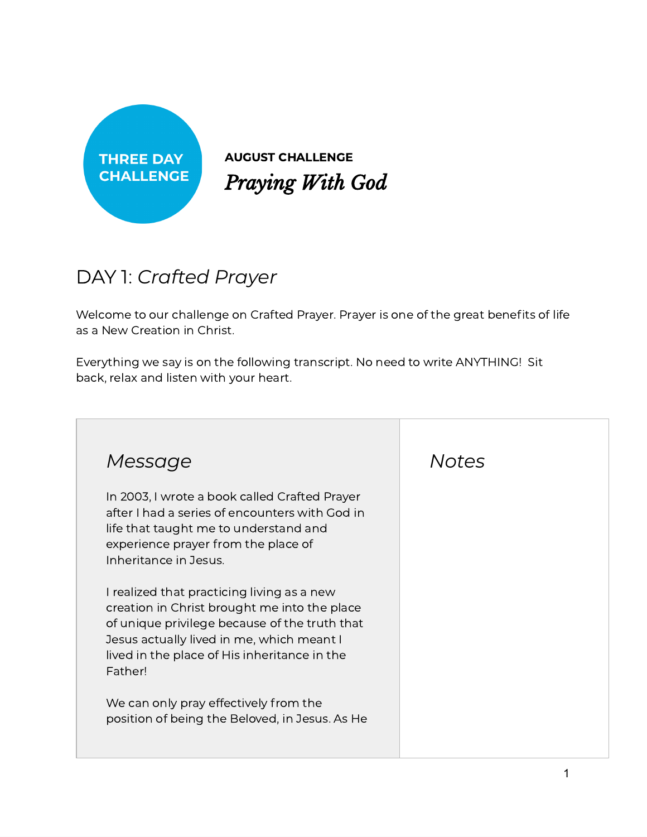

AUGUST CHALLENGE *Praying With God*

# DAY 1: *Crafted Prayer*

Welcome to our challenge on Crafted Prayer. Prayer is one of the great benefits of life as a New Creation in Christ.

Everything we say is on the following transcript. No need to write ANYTHING! Sit back, relax and listen with your heart.

| Message                                                                                                                                                                                                                                             | <b>Notes</b> |
|-----------------------------------------------------------------------------------------------------------------------------------------------------------------------------------------------------------------------------------------------------|--------------|
| In 2003, I wrote a book called Crafted Prayer<br>after I had a series of encounters with God in<br>life that taught me to understand and<br>experience prayer from the place of<br>Inheritance in Jesus.                                            |              |
| I realized that practicing living as a new<br>creation in Christ brought me into the place<br>of unique privilege because of the truth that<br>Jesus actually lived in me, which meant I<br>lived in the place of His inheritance in the<br>Father! |              |
| We can only pray effectively from the<br>position of being the Beloved, in Jesus. As He                                                                                                                                                             |              |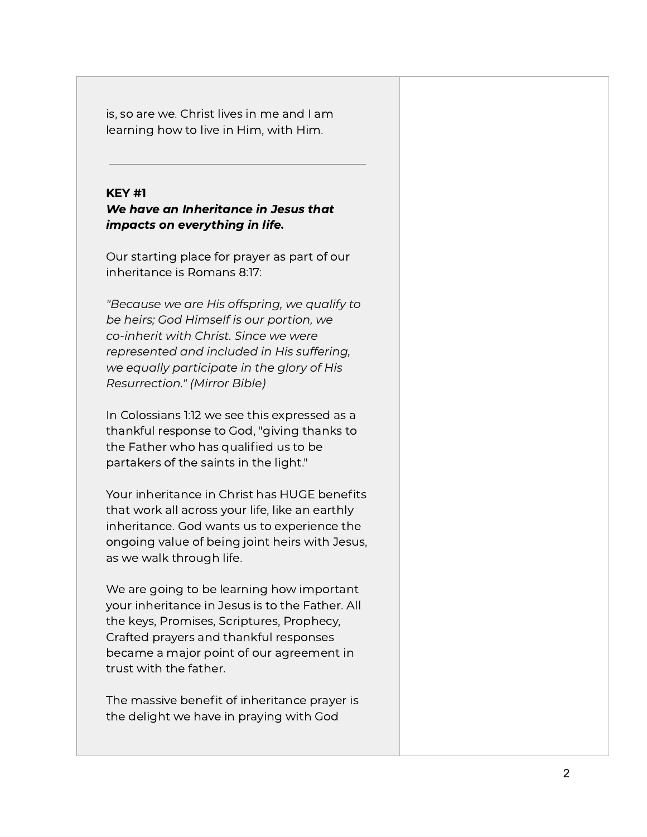is, so are we. Christ lives in me and I am learning how to live in Him, with Him.

## KEY #1 We have an Inheritance in Jesus that impacts on everything in life.

Our starting place for prayer as part of our inheritance is Romans 8:17:

*"Because we are His offspring, we qualify to be heirs; God Himself is our portion, we co-inherit with Christ. Since we were represented and included in His suffering, we equally participate in the glory of His Resurrection." (Mirror Bible)*

In Colossians 1:12 we see this expressed as a thankful response to God, "giving thanks to the Father who has qualified us to be partakers of the saints in the light."

Your inheritance in Christ has HUGE benefits that work all across your life, like an earthly inheritance. God wants us to experience the ongoing value of being joint heirs with Jesus, as we walk through life.

We are going to be learning how important your inheritance in Jesus is to the Father. All the keys, Promises, Scriptures, Prophecy, Crafted prayers and thankful responses became a major point of our agreement in trust with the father.

The massive benefit of inheritance prayer is the delight we have in praying with God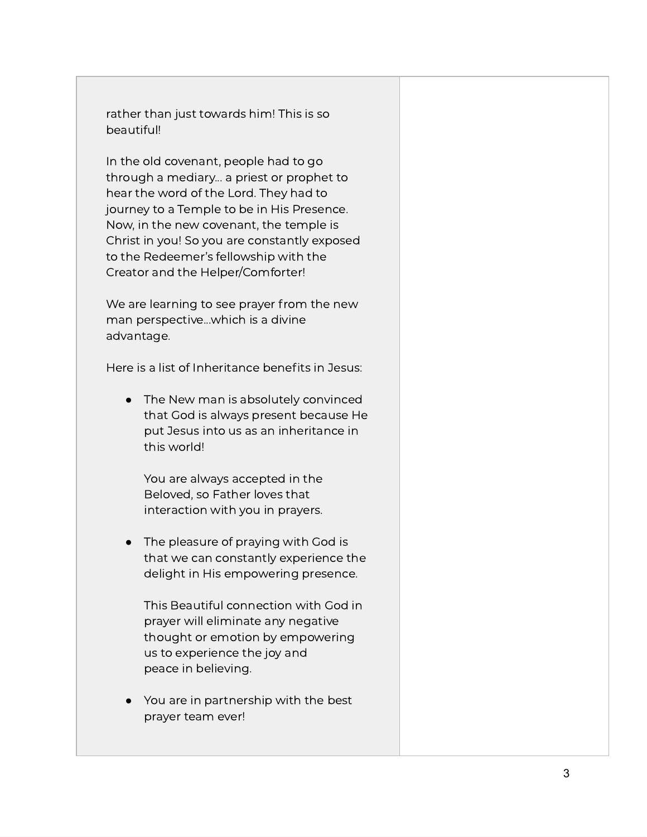rather than just towards him! This is so beautiful!

In the old covenant, people had to go through a mediary... a priest or prophet to hear the word of the Lord. They had to journey to a Temple to be in His Presence. Now, in the new covenant, the temple is Christ in you! So you are constantly exposed to the Redeemer's fellowship with the Creator and the Helper/Comforter!

We are learning to see prayer from the new man perspective...which is a divine advantage.

Here is a list of Inheritance benefits in Jesus:

• The New man is absolutely convinced that God is always present because He put Jesus into us as an inheritance in this world!

You are always accepted in the Beloved, so Father loves that interaction with you in prayers.

• The pleasure of praying with God is that we can constantly experience the delight in His empowering presence.

This Beautiful connection with God in prayer will eliminate any negative thought or emotion by empowering us to experience the joy and peace in believing.

● You are in partnership with the best prayer team ever!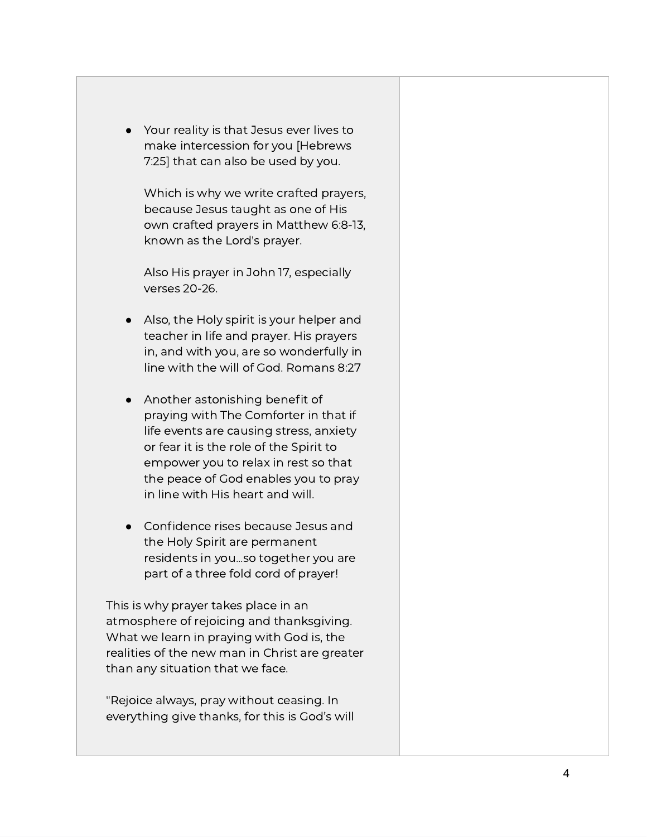● Your reality is that Jesus ever lives to make intercession for you [Hebrews 7:25] that can also be used by you.

Which is why we write crafted prayers, because Jesus taught as one of His own crafted prayers in Matthew 6:8-13, known as the Lord's prayer.

Also His prayer in John 17, especially verses 20-26.

- Also, the Holy spirit is your helper and teacher in life and prayer. His prayers in, and with you, are so wonderfully in line with the will of God. Romans 8:27
- Another astonishing benefit of praying with The Comforter in that if life events are causing stress, anxiety or fear it is the role of the Spirit to empower you to relax in rest so that the peace of God enables you to pray in line with His heart and will.
- Confidence rises because Jesus and the Holy Spirit are permanent residents in you...so together you are part of a three fold cord of prayer!

This is why prayer takes place in an atmosphere of rejoicing and thanksgiving. What we learn in praying with God is, the realities of the new man in Christ are greater than any situation that we face.

"Rejoice always, pray without ceasing. In everything give thanks, for this is God's will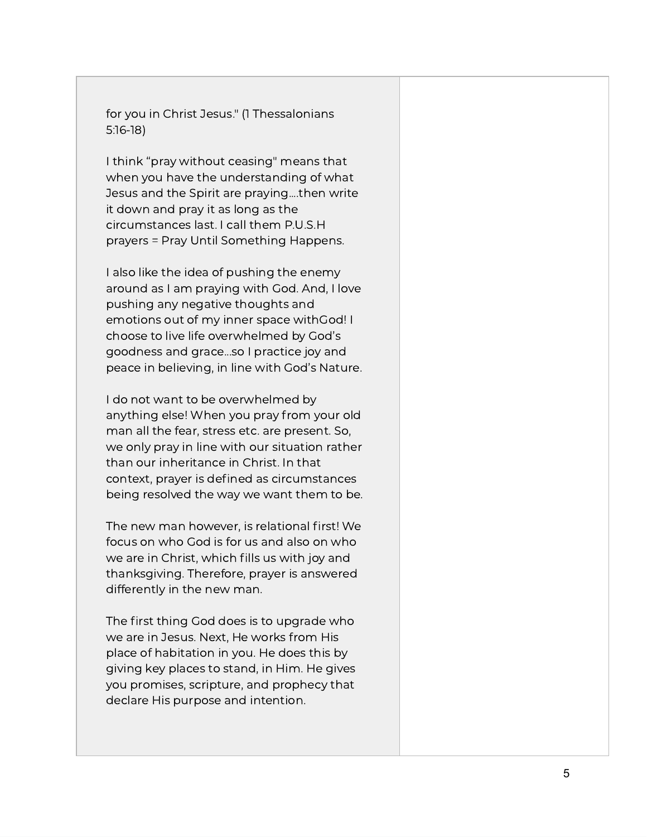for you in Christ Jesus." (1 Thessalonians 5:16-18)

I think "pray without ceasing" means that when you have the understanding of what Jesus and the Spirit are praying....then write it down and pray it as long as the circumstances last. I call them P.U.S.H prayers = Pray Until Something Happens.

I also like the idea of pushing the enemy around as I am praying with God. And, I love pushing any negative thoughts and emotions out of my inner space withGod! I choose to live life overwhelmed by God's goodness and grace...so I practice joy and peace in believing, in line with God's Nature.

I do not want to be overwhelmed by anything else! When you pray from your old man all the fear, stress etc. are present. So, we only pray in line with our situation rather than our inheritance in Christ. In that context, prayer is defined as circumstances being resolved the way we want them to be.

The new man however, is relational first! We focus on who God is for us and also on who we are in Christ, which fills us with joy and thanksgiving. Therefore, prayer is answered differently in the new man.

The first thing God does is to upgrade who we are in Jesus. Next, He works from His place of habitation in you. He does this by giving key places to stand, in Him. He gives you promises, scripture, and prophecy that declare His purpose and intention.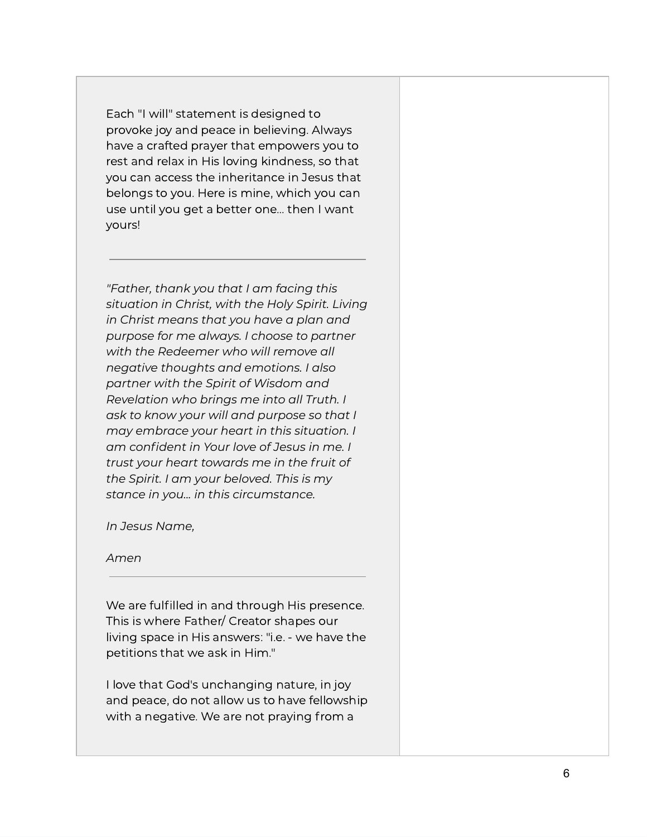Each "I will" statement is designed to provoke joy and peace in believing. Always have a crafted prayer that empowers you to rest and relax in His loving kindness, so that you can access the inheritance in Jesus that belongs to you. Here is mine, which you can use until you get a better one… then I want yours!

*"Father, thank you that I am facing this situation in Christ, with the Holy Spirit. Living in Christ means that you have a plan and purpose for me always. I choose to partner with the Redeemer who will remove all negative thoughts and emotions. I also partner with the Spirit of Wisdom and Revelation who brings me into all Truth. I ask to know your will and purpose so that I may embrace your heart in this situation. I am confident in Your love of Jesus in me. I trust your heart towards me in the fruit of the Spirit. I am your beloved. This is my stance in you... in this circumstance.*

*In Jesus Name,*

*Amen*

We are fulfilled in and through His presence. This is where Father/ Creator shapes our living space in His answers: "i.e. - we have the petitions that we ask in Him."

I love that God's unchanging nature, in joy and peace, do not allow us to have fellowship with a negative. We are not praying from a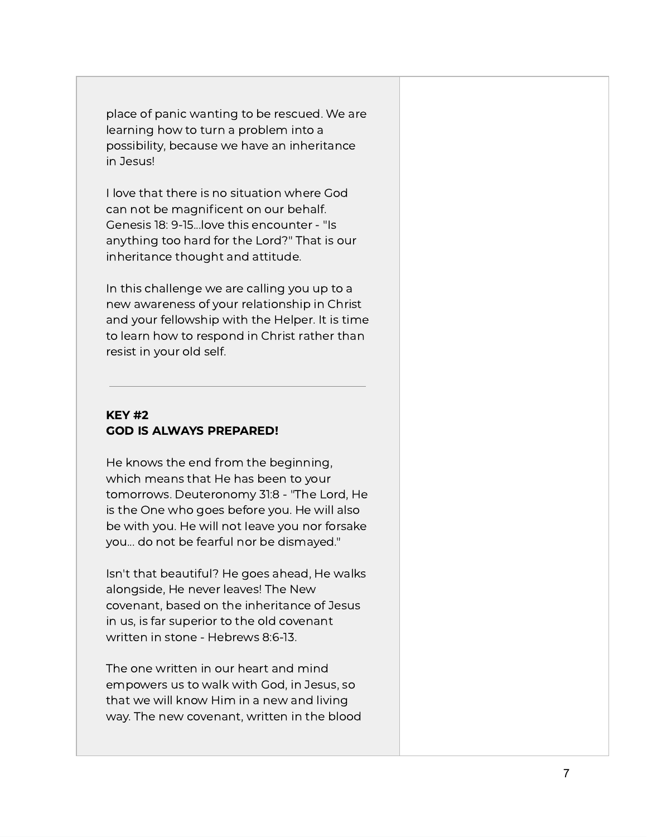place of panic wanting to be rescued. We are learning how to turn a problem into a possibility, because we have an inheritance in Jesus!

I love that there is no situation where God can not be magnificent on our behalf. Genesis 18: 9-15...love this encounter - "Is anything too hard for the Lord?" That is our inheritance thought and attitude.

In this challenge we are calling you up to a new awareness of your relationship in Christ and your fellowship with the Helper. It is time to learn how to respond in Christ rather than resist in your old self.

# KEY #2 GOD IS ALWAYS PREPARED!

He knows the end from the beginning, which means that He has been to your tomorrows. Deuteronomy 31:8 - "The Lord, He is the One who goes before you. He will also be with you. He will not Ieave you nor forsake you... do not be fearful nor be dismayed."

Isn't that beautiful? He goes ahead, He walks alongside, He never leaves! The New covenant, based on the inheritance of Jesus in us, is far superior to the old covenant written in stone - Hebrews 8:6-13.

The one written in our heart and mind empowers us to walk with God, in Jesus, so that we will know Him in a new and living way. The new covenant, written in the blood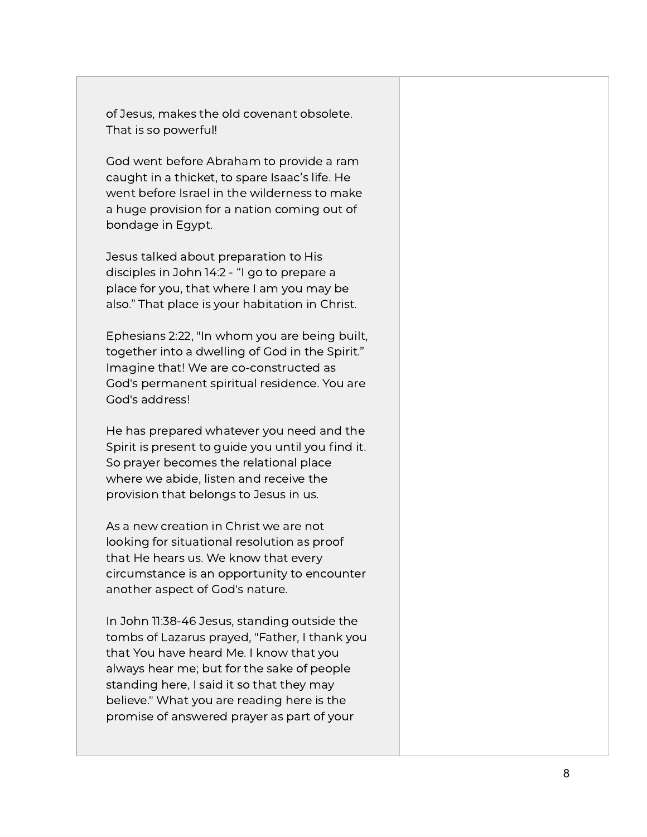of Jesus, makes the old covenant obsolete. That is so powerful!

God went before Abraham to provide a ram caught in a thicket, to spare Isaac's life. He went before Israel in the wilderness to make a huge provision for a nation coming out of bondage in Egypt.

Jesus talked about preparation to His disciples in John 14:2 - "I go to prepare a place for you, that where I am you may be also." That place is your habitation in Christ.

Ephesians 2:22, "In whom you are being built, together into a dwelling of God in the Spirit." Imagine that! We are co-constructed as God's permanent spiritual residence. You are God's address!

He has prepared whatever you need and the Spirit is present to guide you until you find it. So prayer becomes the relational place where we abide, listen and receive the provision that belongs to Jesus in us.

As a new creation in Christ we are not looking for situational resolution as proof that He hears us. We know that every circumstance is an opportunity to encounter another aspect of God's nature.

In John 11:38-46 Jesus, standing outside the tombs of Lazarus prayed, "Father, I thank you that You have heard Me. I know that you always hear me; but for the sake of people standing here, I said it so that they may believe." What you are reading here is the promise of answered prayer as part of your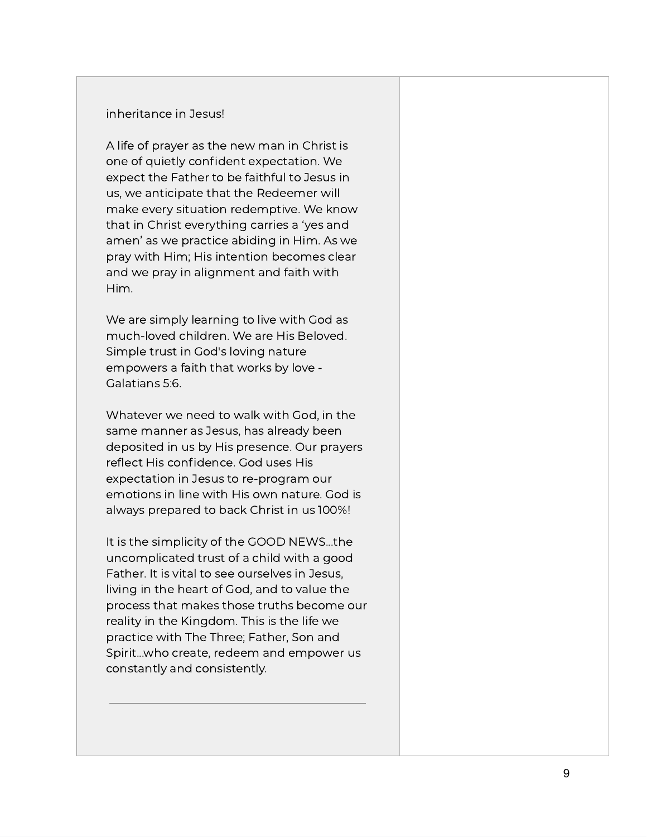#### inheritance in Jesus!

A life of prayer as the new man in Christ is one of quietly confident expectation. We expect the Father to be faithful to Jesus in us, we anticipate that the Redeemer will make every situation redemptive. We know that in Christ everything carries a 'yes and amen' as we practice abiding in Him. As we pray with Him; His intention becomes clear and we pray in alignment and faith with Him.

We are simply learning to live with God as much-loved children. We are His Beloved. Simple trust in God's loving nature empowers a faith that works by love - Galatians 5:6.

Whatever we need to walk with God, in the same manner as Jesus, has already been deposited in us by His presence. Our prayers reflect His confidence. God uses His expectation in Jesus to re-program our emotions in line with His own nature. God is always prepared to back Christ in us 100%!

It is the simplicity of the GOOD NEWS...the uncomplicated trust of a child with a good Father. It is vital to see ourselves in Jesus, living in the heart of God, and to value the process that makes those truths become our reality in the Kingdom. This is the life we practice with The Three; Father, Son and Spirit...who create, redeem and empower us constantly and consistently.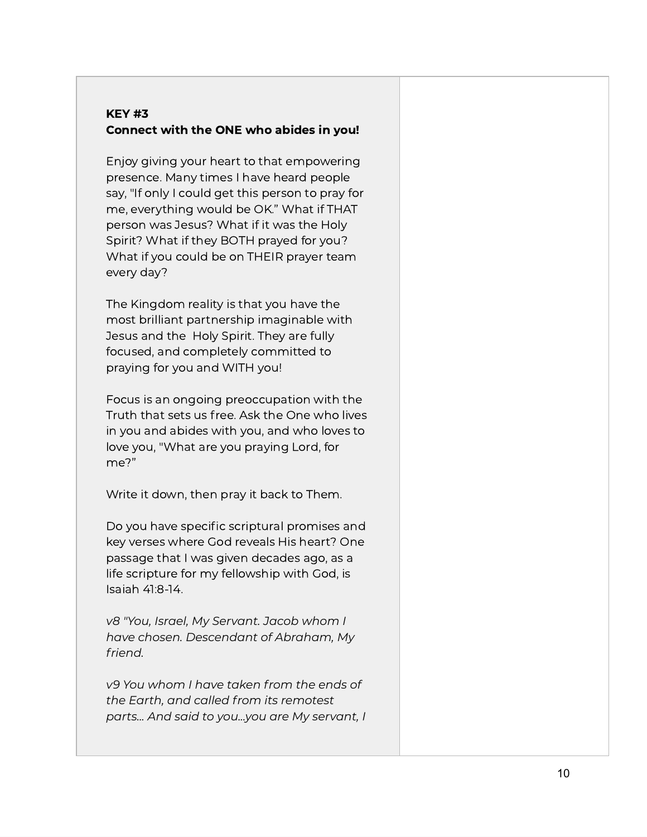### KEY #3 Connect with the ONE who abides in you!

Enjoy giving your heart to that empowering presence. Many times I have heard people say, "If only I could get this person to pray for me, everything would be OK." What if THAT person was Jesus? What if it was the Holy Spirit? What if they BOTH prayed for you? What if you could be on THEIR prayer team every day?

The Kingdom reality is that you have the most brilliant partnership imaginable with Jesus and the Holy Spirit. They are fully focused, and completely committed to praying for you and WITH you!

Focus is an ongoing preoccupation with the Truth that sets us free. Ask the One who lives in you and abides with you, and who loves to love you, "What are you praying Lord, for me?"

Write it down, then pray it back to Them.

Do you have specific scriptural promises and key verses where God reveals His heart? One passage that I was given decades ago, as a life scripture for my fellowship with God, is Isaiah 41:8-14.

*v8 "You, Israel, My Servant. Jacob whom I have chosen. Descendant of Abraham, My friend.*

*v9 You whom I have taken from the ends of the Earth, and called from its remotest parts... And said to you...you are My servant, I*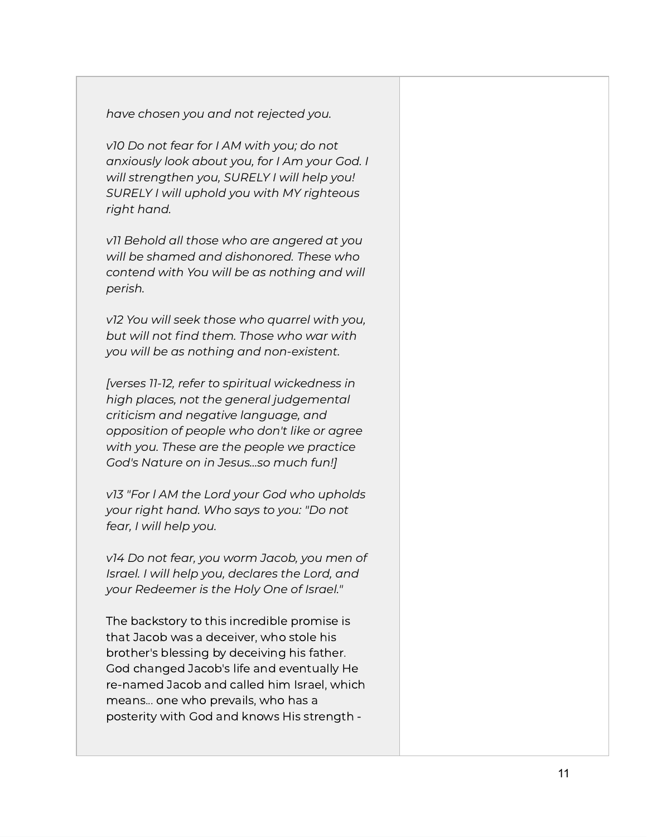*have chosen you and not rejected you.*

*v10 Do not fear for I AM with you; do not anxiously look about you, for I Am your God. I will strengthen you, SURELY I will help you! SURELY I will uphold you with MY righteous right hand.*

*v11 Behold all those who are angered at you will be shamed and dishonored. These who contend with You will be as nothing and will perish.*

*v12 You will seek those who quarrel with you, but will not find them. Those who war with you will be as nothing and non-existent.*

*[verses 11-12, refer to spiritual wickedness in high places, not the general judgemental criticism and negative language, and opposition of people who don't like or agree with you. These are the people we practice God's Nature on in Jesus...so much fun!]*

*v13 "For l AM the Lord your God who upholds your right hand. Who says to you: "Do not fear, I will help you.*

*v14 Do not fear, you worm Jacob, you men of Israel. I will help you, declares the Lord, and your Redeemer is the Holy One of Israel."*

The backstory to this incredible promise is that Jacob was a deceiver, who stole his brother's blessing by deceiving his father. God changed Jacob's life and eventually He re-named Jacob and called him Israel, which means... one who prevails, who has a posterity with God and knows His strength -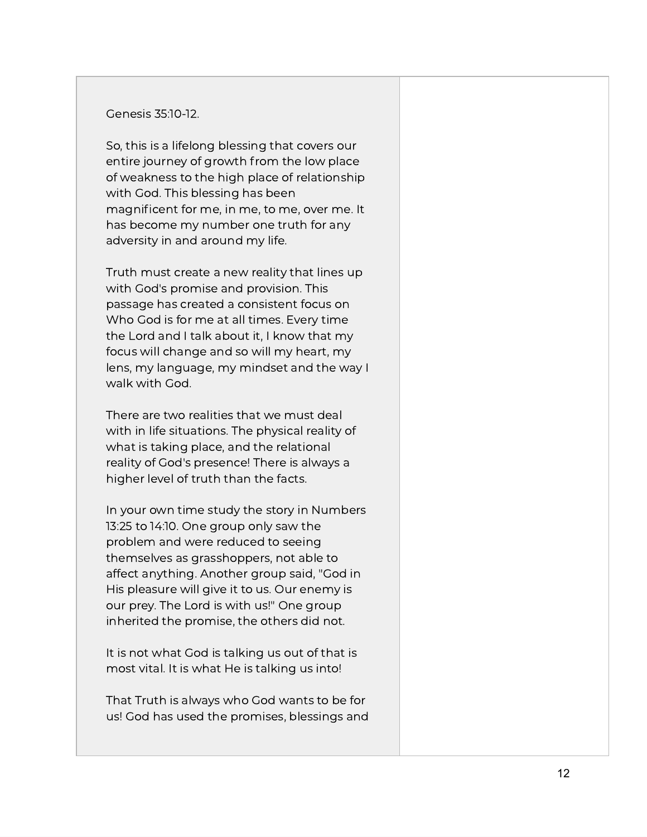Genesis 35:10-12.

So, this is a lifelong blessing that covers our entire journey of growth from the low place of weakness to the high place of relationship with God. This blessing has been magnificent for me, in me, to me, over me. It has become my number one truth for any adversity in and around my life.

Truth must create a new reality that lines up with God's promise and provision. This passage has created a consistent focus on Who God is for me at all times. Every time the Lord and I talk about it, I know that my focus will change and so will my heart, my lens, my language, my mindset and the way I walk with God.

There are two realities that we must deal with in life situations. The physical reality of what is taking place, and the relational reality of God's presence! There is always a higher level of truth than the facts.

In your own time study the story in Numbers 13:25 to 14:10. One group only saw the problem and were reduced to seeing themselves as grasshoppers, not able to affect anything. Another group said, "God in His pleasure will give it to us. Our enemy is our prey. The Lord is with us!" One group inherited the promise, the others did not.

It is not what God is talking us out of that is most vital. It is what He is talking us into!

That Truth is always who God wants to be for us! God has used the promises, blessings and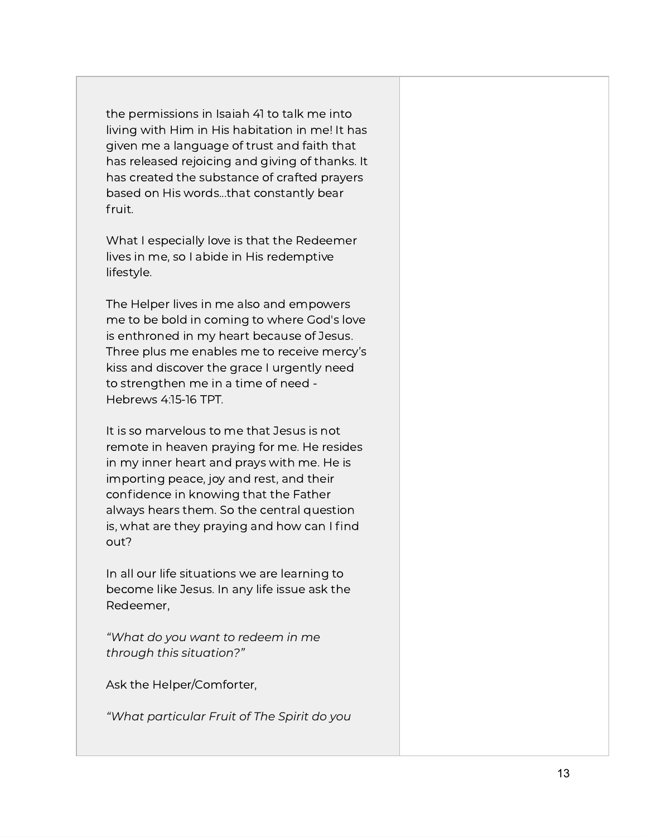the permissions in Isaiah 41 to talk me into living with Him in His habitation in me! It has given me a language of trust and faith that has released rejoicing and giving of thanks. It has created the substance of crafted prayers based on His words...that constantly bear fruit.

What I especially love is that the Redeemer lives in me, so I abide in His redemptive lifestyle.

The Helper lives in me also and empowers me to be bold in coming to where God's love is enthroned in my heart because of Jesus. Three plus me enables me to receive mercy's kiss and discover the grace I urgently need to strengthen me in a time of need - Hebrews 4:15-16 TPT.

It is so marvelous to me that Jesus is not remote in heaven praying for me. He resides in my inner heart and prays with me. He is importing peace, joy and rest, and their confidence in knowing that the Father always hears them. So the central question is, what are they praying and how can I find out?

In all our life situations we are learning to become like Jesus. In any life issue ask the Redeemer,

*"What do you want to redeem in me through this situation?"*

Ask the Helper/Comforter,

*"What particular Fruit of The Spirit do you*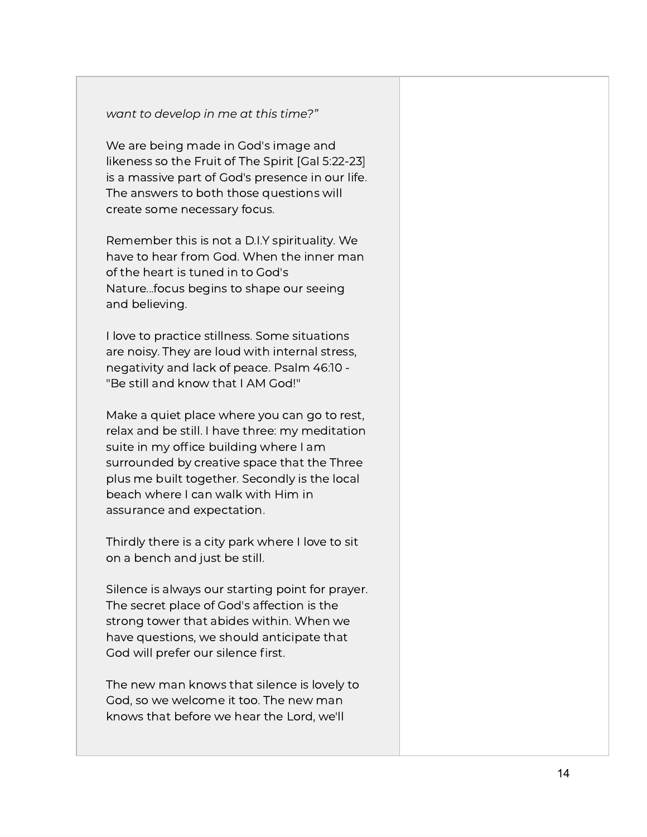#### *want to develop in me at this time?"*

We are being made in God's image and likeness so the Fruit of The Spirit [Gal 5:22-23] is a massive part of God's presence in our life. The answers to both those questions will create some necessary focus.

Remember this is not a D.I.Y spirituality. We have to hear from God. When the inner man of the heart is tuned in to God's Nature...focus begins to shape our seeing and believing.

I love to practice stillness. Some situations are noisy. They are loud with internal stress, negativity and lack of peace. Psalm 46:10 - "Be still and know that I AM God!"

Make a quiet place where you can go to rest, relax and be still. I have three: my meditation suite in my office building where I am surrounded by creative space that the Three plus me built together. Secondly is the local beach where I can walk with Him in assurance and expectation.

Thirdly there is a city park where I love to sit on a bench and just be still.

Silence is always our starting point for prayer. The secret place of God's affection is the strong tower that abides within. When we have questions, we should anticipate that God will prefer our silence first.

The new man knows that silence is lovely to God, so we welcome it too. The new man knows that before we hear the Lord, we'll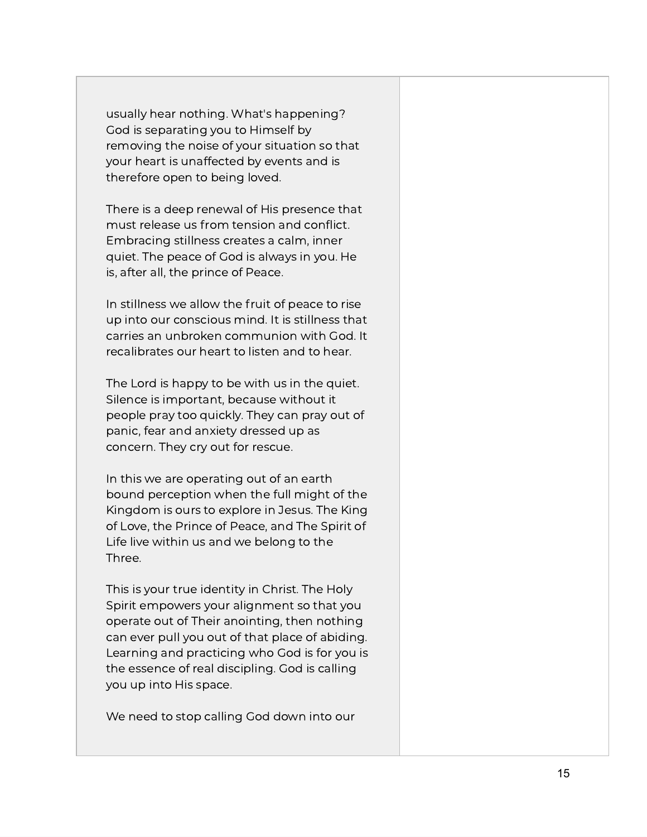usually hear nothing. What's happening? God is separating you to Himself by removing the noise of your situation so that your heart is unaffected by events and is therefore open to being loved.

There is a deep renewal of His presence that must release us from tension and conflict. Embracing stillness creates a calm, inner quiet. The peace of God is always in you. He is, after all, the prince of Peace.

In stillness we allow the fruit of peace to rise up into our conscious mind. It is stillness that carries an unbroken communion with God. It recalibrates our heart to listen and to hear.

The Lord is happy to be with us in the quiet. Silence is important, because without it people pray too quickly. They can pray out of panic, fear and anxiety dressed up as concern. They cry out for rescue.

In this we are operating out of an earth bound perception when the full might of the Kingdom is ours to explore in Jesus. The King of Love, the Prince of Peace, and The Spirit of Life live within us and we belong to the Three.

This is your true identity in Christ. The Holy Spirit empowers your alignment so that you operate out of Their anointing, then nothing can ever pull you out of that place of abiding. Learning and practicing who God is for you is the essence of real discipling. God is calling you up into His space.

We need to stop calling God down into our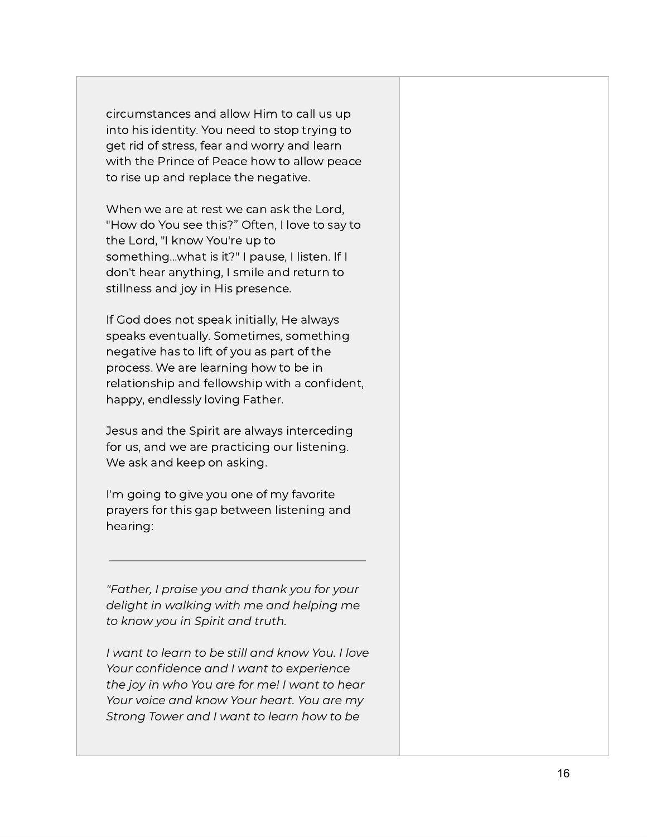circumstances and allow Him to call us up into his identity. You need to stop trying to get rid of stress, fear and worry and learn with the Prince of Peace how to allow peace to rise up and replace the negative.

When we are at rest we can ask the Lord, "How do You see this?" Often, I love to say to the Lord, "I know You're up to something...what is it?" I pause, I listen. If I don't hear anything, I smile and return to stillness and joy in His presence.

If God does not speak initially, He always speaks eventually. Sometimes, something negative has to lift of you as part of the process. We are learning how to be in relationship and fellowship with a confident, happy, endlessly loving Father.

Jesus and the Spirit are always interceding for us, and we are practicing our listening. We ask and keep on asking.

I'm going to give you one of my favorite prayers for this gap between listening and hearing:

*"Father, I praise you and thank you for your delight in walking with me and helping me to know you in Spirit and truth.*

*I want to learn to be still and know You. I love Your confidence and I want to experience the joy in who You are for me! I want to hear Your voice and know Your heart. You are my Strong Tower and I want to learn how to be*